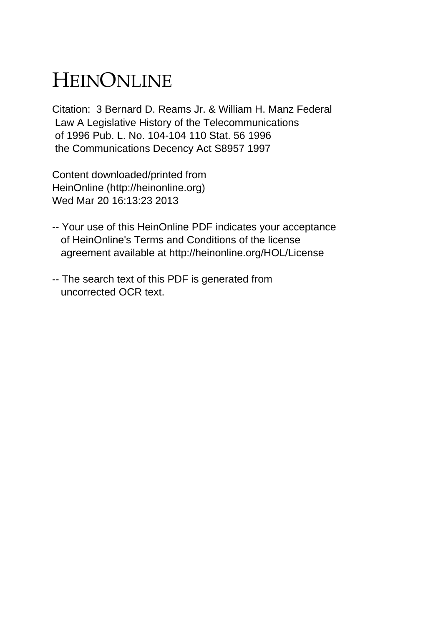## HEINONLINE

Citation: 3 Bernard D. Reams Jr. & William H. Manz Federal Law A Legislative History of the Telecommunications of 1996 Pub. L. No. 104-104 110 Stat. 56 1996 the Communications Decency Act S8957 1997

Content downloaded/printed from HeinOnline (http://heinonline.org) Wed Mar 20 16:13:23 2013

- -- Your use of this HeinOnline PDF indicates your acceptance of HeinOnline's Terms and Conditions of the license agreement available at http://heinonline.org/HOL/License
- -- The search text of this PDF is generated from uncorrected OCR text.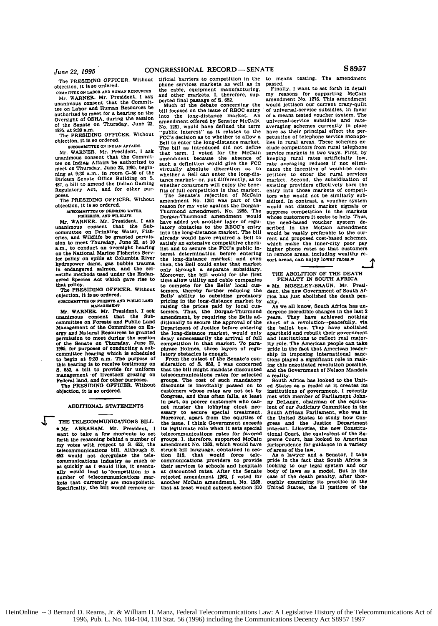$June 22. 1995$ 

**CONGRESSIONAL RECORD - SENATE** 

COMMrrrtEE **ON LABOR AND HUMAN** RESOURCES Mr. WARNER. Mr. President, **I** ask unanimous consent that the Committee on Labor **and** Human Resources be authorized to meet for a hearing on the Oversight of OSHA. during the session of the Senate on Thursday. June 22, **1995.** at **9:30** a-m.

The **PRESIDING** OFFICER. Without objection, **it Is so** ordered.

**eUBcOMMrrTEE ON INDIAN AFlAIRS**

Mr. WARNER. Mr. President. I ask<br>unanimous consent that the Commitunanimous consent that the Commit-<br>tee on Indias Affairs be authorized to<br>meet on Thursday, June 22, 1995. begin-<br>ning at 9:30 a.m., in room 0-50 of the<br>Dirkeen Senate Office Building on S. 487. a bill to amend the Indian Gaming Regulatory Act. and for other pur-

poses. The PRESIDING OFFICER. Without objection, it is so ordered.

**sUBCOMMITTEE ON DRINKING WATER.** 

**FISHERIES. ANDWILDLIFE**

Mr. WARNER. Mr. President, **I** ask unanimous consent that the Sub-committee on Drinking Water, Fish-eries, and Wildlife be granted permis-**Sion** to meet Thursday. June **22,** at **10** a.m., to conduct an oversight hearing on the National Marine Fisheries Service policy on **spills** at Columbia River hydropower dams, gas bubble trauma in endangered salmon, and the **sc-entific** methods used under the Endangered Species Act which gave rise to<br>that policy.

that **policy.** The **PRESIDING** OFFICER. Without objection, it is so ordered.

SUBCOMrITEE **ON** poegSTS **AND PU3LIC LAND** *MANAGEMENT*

Mr. WARNER. Mr. President. I ask unanimous consent that the Sub-committee on Forests and Public Land Management **of** the Committee on En-ergy and Natural Resources be granted permission to meet during the session of the Senate on Thursday. June **22. 1995,** for purposes of conducting a sub-committee hearing which is scheduled to begin at **9:30** a.m. The purpose of this hearing is to receive testimony on **a. 852,** a bill to provide for uniform management of livestock grazing **on** Federal land, and for other purposes. The **PRESIDING** OFFICER. Without

objection, it **is** so ordered.

## **ADDITIONAL STATEMENTS**

**THE TELECOMMUNICATIONS BILL 9 Mr. ABRAHAM. Mr.** President. **I** want to take a few moments to forth the reasoning behind a number of my votes with respect to **S. 652.** the telecommunications bill. Although **S. 652** would not deregulate the tele-communications industry as much or **as** quickly as **I** would like. it eventually would lead to competition in a number of telecommunications marrently are monopolistic.<br>Rets that currently are monopolistic.<br>Specifically, the bill would remove ar-

tificial barriers to competition in the phone services markets as well as in the cable, equipment manufacturing, and other markets. **I.** therefore, sup-

ported final passage of **S. 652.** Much of the debate concerning the bill focused on the issue of RBOC entry into the long-distance market. An amendment offered **by** Senator **MCCAIN,** No. **1261, would** have defined the term '"public interest" as It relates to the **FCC's** decision **as** to whether to allow a Bell to enter the long-distance market. The bill as introduced **did** not define that term. I voted for the McCain amendment because the absence of such a definition would give the **FCC** virtually absolute discretion as to whether a Bell can enter the long-distance market--or, put differently, as to whether consumers will enjoy the bene-<br>fits of full competition in that market.

fits of full competition in that market. The Senate's rejection of McCain amendment No. **1261** was part of the reason for my vote against the Dorgan-Thurmond amendment. No. **1265.** The Dorgan-Thurmond amendment would have added yet another layer **of** regulatory obstacles to the RBOC's entry into the long-distance market. The bill already would have required a Bell to satisfy an extensive competitive check-list and to secure the FCC's public interest determination before entering the long-distance market; and even then, the Bell could enter that market only through **a** separate subsidiary. Moreover, the **bill** would for the first time allow utility and cable companies to compete for the Bells' local cus-tomers, thereby further reducing the Bells' ability to subsidize predatory pricing in the long-distance market **by** raising the prices paid **by** local cus-tomers. Thus, the Dorgan-Thurmond amendment, **by** requiring the Bells additionally to secure the approval **of** the Department of Justice before entering the long-distance market, would only delay unnecessarily the arrival of full competition In that market. To para-

phrase Holmes. three layers of regu-latory obstacles is enough. From the outset of the Senate's con-sideration of **S. 652, I** was concerned that the **bill** might mandate discounted telecommunications rates for selected groups. The **cost** of such mandatory discounts **is** Inevitably passed on to customers whose rates **are** not set **by** Congress, and thus often falls, at least in part, on poorer customers who cannot muster the lobbying clout nec-essary to secure special treatment. Moreover, apart from the equities **of** the issue, **I** think Government exceeds its legitimate role when it sets special telecommunications rates for favored groups. **I.** therefore, supported McCain amendment No. 1262. which would have struck bill language, contalned In sec-tion **310.** that would force telecommunications providers to provide their services to schools and hospitals at discounted rates. After the Senate rejected amendment **1262, I** voted for another McCain amendment, No. **1285.** that at least would subject section **310**

to means testing. The amendment passed. Finally, I want to **set** forth In detail

my reasons for supporting McCain amendment No. **1276.** This amendment would jettison our current crazy-quilt of universal-service subsidies, in favor of a means tested voucher system. The universal-service subsidies and rate-averaging schemes currently in place have as their principal effect the per-petuation of telephone service monopolies in rural areas. These schemes ex-clude competitors from rural telephone service markets in two ways. First. by keeping rural rates artificially low. rate averaging reduces if not eliminates the incentive of would-be competitors to enter the rural services market. Second. the subsidization of existing providers effectively bars the entry into those markets of competitors who would not be similarly sub-sidized. In contrast, a voucher system would not distort market signals or suppress competition in the markets whose customers it seeks to help. Thus. whose customers is seen to help. runs,<br>the need-based voucher system dewould be vastly preferable to the current and proposed cost-based schemes. which make the Inner-city poor **pay** higher phone rates **so** that customers in remote areas, including wealthy resort areas, can enjoy lower rates.<sup>.</sup>

THE **ABOLITION** OF THE **DEATH PENALTY** IN **SOUTH** AFRICA

**e** Ms. MOSELEY-BRAUN. Mr. Presi-dent. the new Government of South **Af**rica has just abolished the death penalty.

**As** we **all** know. South Africa has **un**dergone incredible changes in the last 2 years. They have achieved nothing short **of** a revolution-peacefully, via the ballot box. They have abolished apartheid and rebuilt their government and Institutions **to** reflect real majority rule. The American people can take pride in the fact that American leadership in imposing international sanc-tions played a significant role in making this negotiated revolution possible. and the Government of Nelson Mandela a reality.

South **Africa** has looked to the United States as a model as **it** creates Its institutions of government. I recently met with member of Parliament John-ny DeLasge, chairman of the equivalent of our Judiciary Committee in the South African Parliament, who was in the United States to study how Congress and the Justice Department interact. Likewise. the **new** Constitutional Court, the equivalent **of** the Su-preme Court. has looked to American jurisprudence for guidance in a variety

purisprudence for guidance in a variety<br>As a lawyer and a Senator. I take<br>nride in the fact that South Africa is looking to our legal system and our body of laws as a model. But In the case of the death penalty, after thoroughly examining its practice in the United States, the **11** justices of the'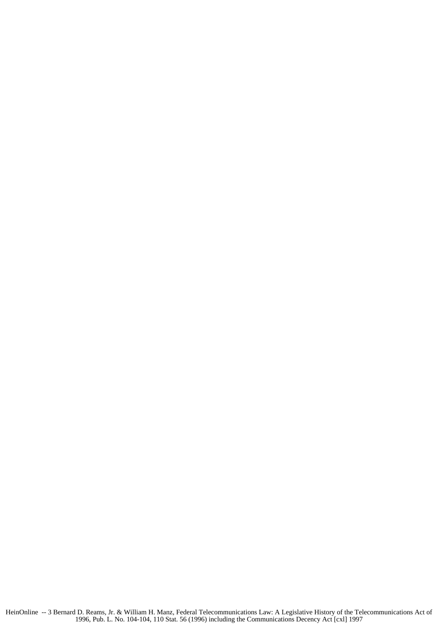HeinOnline -- 3 Bernard D. Reams, Jr. & William H. Manz, Federal Telecommunications Law: A Legislative History of the Telecommunications Act of 1996, Pub. L. No. 104-104, 110 Stat. 56 (1996) including the Communications Decency Act [cxl] 1997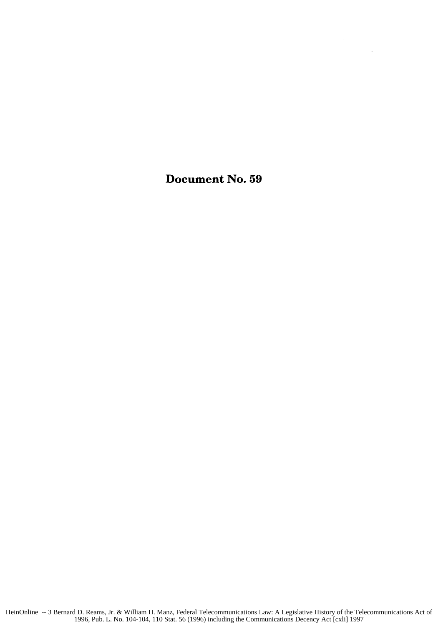Document No. **59**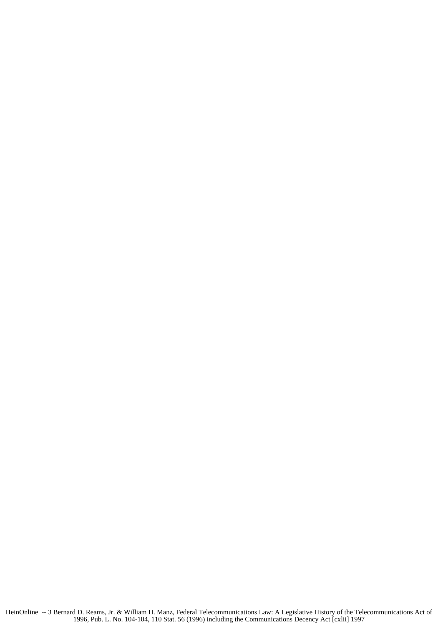HeinOnline -- 3 Bernard D. Reams, Jr. & William H. Manz, Federal Telecommunications Law: A Legislative History of the Telecommunications Act of 1996, Pub. L. No. 104-104, 110 Stat. 56 (1996) including the Communications Decency Act [cxlii] 1997